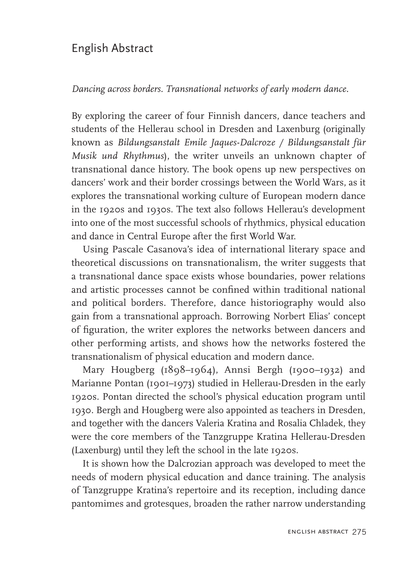## English Abstract

*Dancing across borders. Transnational networks of early modern dance.*

By exploring the career of four Finnish dancers, dance teachers and students of the Hellerau school in Dresden and Laxenburg (originally known as *Bildungsanstalt Emile Jaques-Dalcroze / Bildungsanstalt für Musik und Rhythmus*), the writer unveils an unknown chapter of transnational dance history. The book opens up new perspectives on dancers' work and their border crossings between the World Wars, as it explores the transnational working culture of European modern dance in the 1920s and 1930s. The text also follows Hellerau's development into one of the most successful schools of rhythmics, physical education and dance in Central Europe after the first World War.

Using Pascale Casanova's idea of international literary space and theoretical discussions on transnationalism, the writer suggests that a transnational dance space exists whose boundaries, power relations and artistic processes cannot be confined within traditional national and political borders. Therefore, dance historiography would also gain from a transnational approach. Borrowing Norbert Elias' concept of figuration*,* the writer explores the networks between dancers and other performing artists, and shows how the networks fostered the transnationalism of physical education and modern dance.

Mary Hougberg (1898–1964), Annsi Bergh (1900–1932) and Marianne Pontan (1901–1973) studied in Hellerau-Dresden in the early 1920s. Pontan directed the school's physical education program until 1930. Bergh and Hougberg were also appointed as teachers in Dresden, and together with the dancers Valeria Kratina and Rosalia Chladek, they were the core members of the Tanzgruppe Kratina Hellerau-Dresden (Laxenburg) until they left the school in the late 1920s.

It is shown how the Dalcrozian approach was developed to meet the needs of modern physical education and dance training. The analysis of Tanzgruppe Kratina's repertoire and its reception, including dance pantomimes and grotesques, broaden the rather narrow understanding